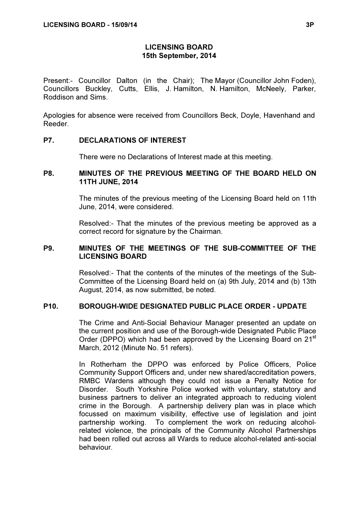## LICENSING BOARD 15th September, 2014

Present:- Councillor Dalton (in the Chair); The Mayor (Councillor John Foden), Councillors Buckley, Cutts, Ellis, J. Hamilton, N. Hamilton, McNeely, Parker, Roddison and Sims.

Apologies for absence were received from Councillors Beck, Doyle, Havenhand and Reeder.

#### P7. DECLARATIONS OF INTEREST

There were no Declarations of Interest made at this meeting.

### P8. MINUTES OF THE PREVIOUS MEETING OF THE BOARD HELD ON 11TH JUNE, 2014

 The minutes of the previous meeting of the Licensing Board held on 11th June, 2014, were considered.

Resolved:- That the minutes of the previous meeting be approved as a correct record for signature by the Chairman.

## P9. MINUTES OF THE MEETINGS OF THE SUB-COMMITTEE OF THE LICENSING BOARD

 Resolved:- That the contents of the minutes of the meetings of the Sub-Committee of the Licensing Board held on (a) 9th July, 2014 and (b) 13th August, 2014, as now submitted, be noted.

## P10. BOROUGH-WIDE DESIGNATED PUBLIC PLACE ORDER - UPDATE

 The Crime and Anti-Social Behaviour Manager presented an update on the current position and use of the Borough-wide Designated Public Place Order (DPPO) which had been approved by the Licensing Board on 21<sup>st</sup> March, 2012 (Minute No. 51 refers).

In Rotherham the DPPO was enforced by Police Officers, Police Community Support Officers and, under new shared/accreditation powers, RMBC Wardens although they could not issue a Penalty Notice for Disorder. South Yorkshire Police worked with voluntary, statutory and business partners to deliver an integrated approach to reducing violent crime in the Borough. A partnership delivery plan was in place which focussed on maximum visibility, effective use of legislation and joint partnership working. To complement the work on reducing alcoholrelated violence, the principals of the Community Alcohol Partnerships had been rolled out across all Wards to reduce alcohol-related anti-social behaviour.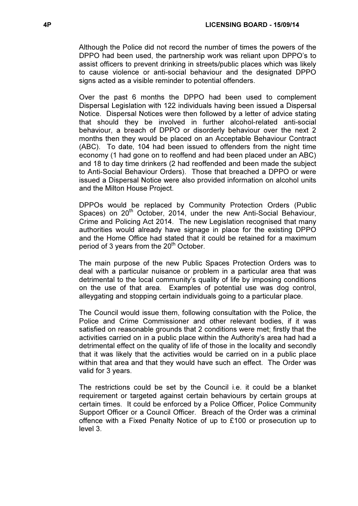Although the Police did not record the number of times the powers of the DPPO had been used, the partnership work was reliant upon DPPO's to assist officers to prevent drinking in streets/public places which was likely to cause violence or anti-social behaviour and the designated DPPO signs acted as a visible reminder to potential offenders.

Over the past 6 months the DPPO had been used to complement Dispersal Legislation with 122 individuals having been issued a Dispersal Notice. Dispersal Notices were then followed by a letter of advice stating that should they be involved in further alcohol-related anti-social behaviour, a breach of DPPO or disorderly behaviour over the next 2 months then they would be placed on an Acceptable Behaviour Contract (ABC). To date, 104 had been issued to offenders from the night time economy (1 had gone on to reoffend and had been placed under an ABC) and 18 to day time drinkers (2 had reoffended and been made the subject to Anti-Social Behaviour Orders). Those that breached a DPPO or were issued a Dispersal Notice were also provided information on alcohol units and the Milton House Project.

DPPOs would be replaced by Community Protection Orders (Public Spaces) on 20<sup>th</sup> October, 2014, under the new Anti-Social Behaviour, Crime and Policing Act 2014. The new Legislation recognised that many authorities would already have signage in place for the existing DPPO and the Home Office had stated that it could be retained for a maximum period of 3 years from the  $20<sup>th</sup>$  October.

The main purpose of the new Public Spaces Protection Orders was to deal with a particular nuisance or problem in a particular area that was detrimental to the local community's quality of life by imposing conditions on the use of that area. Examples of potential use was dog control, alleygating and stopping certain individuals going to a particular place.

The Council would issue them, following consultation with the Police, the Police and Crime Commissioner and other relevant bodies, if it was satisfied on reasonable grounds that 2 conditions were met; firstly that the activities carried on in a public place within the Authority's area had had a detrimental effect on the quality of life of those in the locality and secondly that it was likely that the activities would be carried on in a public place within that area and that they would have such an effect. The Order was valid for 3 years.

The restrictions could be set by the Council i.e. it could be a blanket requirement or targeted against certain behaviours by certain groups at certain times. It could be enforced by a Police Officer, Police Community Support Officer or a Council Officer. Breach of the Order was a criminal offence with a Fixed Penalty Notice of up to £100 or prosecution up to level 3.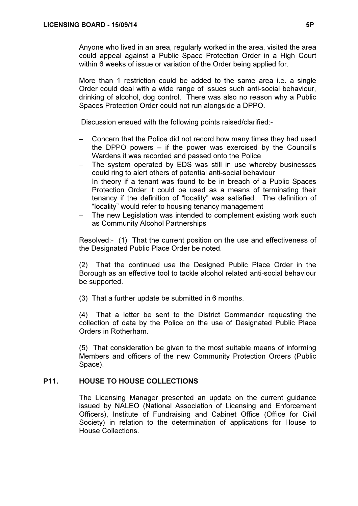Anyone who lived in an area, regularly worked in the area, visited the area could appeal against a Public Space Protection Order in a High Court within 6 weeks of issue or variation of the Order being applied for.

More than 1 restriction could be added to the same area i.e. a single Order could deal with a wide range of issues such anti-social behaviour, drinking of alcohol, dog control. There was also no reason why a Public Spaces Protection Order could not run alongside a DPPO.

Discussion ensued with the following points raised/clarified:-

- − Concern that the Police did not record how many times they had used the DPPO powers – if the power was exercised by the Council's Wardens it was recorded and passed onto the Police
- The system operated by EDS was still in use whereby businesses could ring to alert others of potential anti-social behaviour
- − In theory if a tenant was found to be in breach of a Public Spaces Protection Order it could be used as a means of terminating their tenancy if the definition of "locality" was satisfied. The definition of "locality" would refer to housing tenancy management
- The new Legislation was intended to complement existing work such as Community Alcohol Partnerships

Resolved:- (1) That the current position on the use and effectiveness of the Designated Public Place Order be noted.

(2) That the continued use the Designed Public Place Order in the Borough as an effective tool to tackle alcohol related anti-social behaviour be supported.

(3) That a further update be submitted in 6 months.

(4) That a letter be sent to the District Commander requesting the collection of data by the Police on the use of Designated Public Place Orders in Rotherham.

(5) That consideration be given to the most suitable means of informing Members and officers of the new Community Protection Orders (Public Space).

## P11. HOUSE TO HOUSE COLLECTIONS

 The Licensing Manager presented an update on the current guidance issued by NALEO (National Association of Licensing and Enforcement Officers), Institute of Fundraising and Cabinet Office (Office for Civil Society) in relation to the determination of applications for House to House Collections.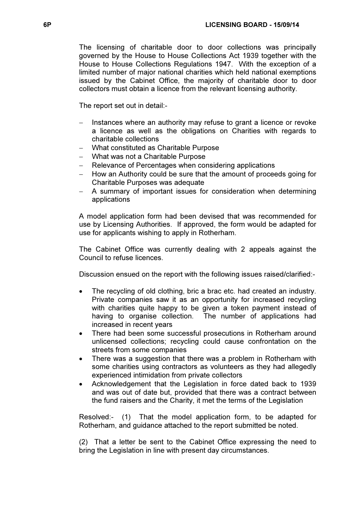The licensing of charitable door to door collections was principally governed by the House to House Collections Act 1939 together with the House to House Collections Regulations 1947. With the exception of a limited number of major national charities which held national exemptions issued by the Cabinet Office, the majority of charitable door to door collectors must obtain a licence from the relevant licensing authority.

The report set out in detail:-

- Instances where an authority may refuse to grant a licence or revoke a licence as well as the obligations on Charities with regards to charitable collections
- − What constituted as Charitable Purpose
- − What was not a Charitable Purpose
- Frelevance of Percentages when considering applications
- − How an Authority could be sure that the amount of proceeds going for Charitable Purposes was adequate
- A summary of important issues for consideration when determining applications

A model application form had been devised that was recommended for use by Licensing Authorities. If approved, the form would be adapted for use for applicants wishing to apply in Rotherham.

The Cabinet Office was currently dealing with 2 appeals against the Council to refuse licences.

Discussion ensued on the report with the following issues raised/clarified:-

- The recycling of old clothing, bric a brac etc. had created an industry. Private companies saw it as an opportunity for increased recycling with charities quite happy to be given a token payment instead of having to organise collection. The number of applications had increased in recent years
- There had been some successful prosecutions in Rotherham around unlicensed collections; recycling could cause confrontation on the streets from some companies
- There was a suggestion that there was a problem in Rotherham with some charities using contractors as volunteers as they had allegedly experienced intimidation from private collectors
- Acknowledgement that the Legislation in force dated back to 1939 and was out of date but, provided that there was a contract between the fund raisers and the Charity, it met the terms of the Legislation

Resolved:- (1) That the model application form, to be adapted for Rotherham, and guidance attached to the report submitted be noted.

(2) That a letter be sent to the Cabinet Office expressing the need to bring the Legislation in line with present day circumstances.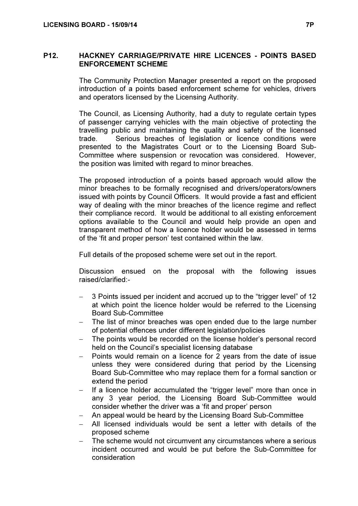### P12. HACKNEY CARRIAGE/PRIVATE HIRE LICENCES - POINTS BASED ENFORCEMENT SCHEME

 The Community Protection Manager presented a report on the proposed introduction of a points based enforcement scheme for vehicles, drivers and operators licensed by the Licensing Authority.

The Council, as Licensing Authority, had a duty to regulate certain types of passenger carrying vehicles with the main objective of protecting the travelling public and maintaining the quality and safety of the licensed trade. Serious breaches of legislation or licence conditions were presented to the Magistrates Court or to the Licensing Board Sub-Committee where suspension or revocation was considered. However, the position was limited with regard to minor breaches.

The proposed introduction of a points based approach would allow the minor breaches to be formally recognised and drivers/operators/owners issued with points by Council Officers. It would provide a fast and efficient way of dealing with the minor breaches of the licence regime and reflect their compliance record. It would be additional to all existing enforcement options available to the Council and would help provide an open and transparent method of how a licence holder would be assessed in terms of the 'fit and proper person' test contained within the law.

Full details of the proposed scheme were set out in the report.

Discussion ensued on the proposal with the following issues raised/clarified:-

- − 3 Points issued per incident and accrued up to the "trigger level" of 12 at which point the licence holder would be referred to the Licensing Board Sub-Committee
- The list of minor breaches was open ended due to the large number of potential offences under different legislation/policies
- − The points would be recorded on the license holder's personal record held on the Council's specialist licensing database
- Points would remain on a licence for 2 years from the date of issue unless they were considered during that period by the Licensing Board Sub-Committee who may replace them for a formal sanction or extend the period
- If a licence holder accumulated the "trigger level" more than once in any 3 year period, the Licensing Board Sub-Committee would consider whether the driver was a 'fit and proper' person
- − An appeal would be heard by the Licensing Board Sub-Committee
- All licensed individuals would be sent a letter with details of the proposed scheme
- The scheme would not circumvent any circumstances where a serious incident occurred and would be put before the Sub-Committee for consideration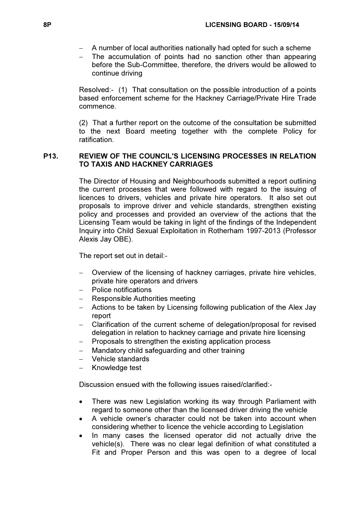- − A number of local authorities nationally had opted for such a scheme
- − The accumulation of points had no sanction other than appearing before the Sub-Committee, therefore, the drivers would be allowed to continue driving

Resolved:- (1) That consultation on the possible introduction of a points based enforcement scheme for the Hackney Carriage/Private Hire Trade commence.

(2) That a further report on the outcome of the consultation be submitted to the next Board meeting together with the complete Policy for ratification.

# P13. REVIEW OF THE COUNCIL'S LICENSING PROCESSES IN RELATION TO TAXIS AND HACKNEY CARRIAGES

 The Director of Housing and Neighbourhoods submitted a report outlining the current processes that were followed with regard to the issuing of licences to drivers, vehicles and private hire operators. It also set out proposals to improve driver and vehicle standards, strengthen existing policy and processes and provided an overview of the actions that the Licensing Team would be taking in light of the findings of the Independent Inquiry into Child Sexual Exploitation in Rotherham 1997-2013 (Professor Alexis Jay OBE).

The report set out in detail:-

- Overview of the licensing of hackney carriages, private hire vehicles, private hire operators and drivers
- − Police notifications
- − Responsible Authorities meeting
- − Actions to be taken by Licensing following publication of the Alex Jay report
- − Clarification of the current scheme of delegation/proposal for revised delegation in relation to hackney carriage and private hire licensing
- Proposals to strengthen the existing application process
- − Mandatory child safeguarding and other training
- − Vehicle standards
- − Knowledge test

Discussion ensued with the following issues raised/clarified:-

- There was new Legislation working its way through Parliament with regard to someone other than the licensed driver driving the vehicle
- A vehicle owner's character could not be taken into account when considering whether to licence the vehicle according to Legislation
- In many cases the licensed operator did not actually drive the vehicle(s). There was no clear legal definition of what constituted a Fit and Proper Person and this was open to a degree of local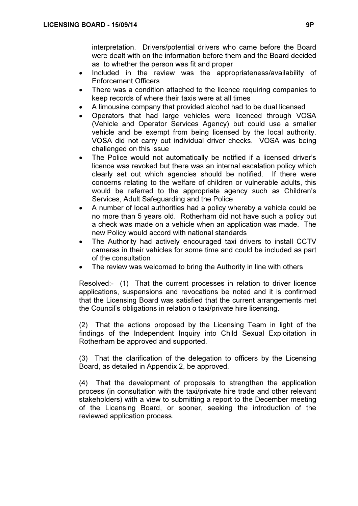interpretation. Drivers/potential drivers who came before the Board were dealt with on the information before them and the Board decided as to whether the person was fit and proper

- Included in the review was the appropriateness/availability of Enforcement Officers
- There was a condition attached to the licence requiring companies to keep records of where their taxis were at all times
- A limousine company that provided alcohol had to be dual licensed
- Operators that had large vehicles were licenced through VOSA (Vehicle and Operator Services Agency) but could use a smaller vehicle and be exempt from being licensed by the local authority. VOSA did not carry out individual driver checks. VOSA was being challenged on this issue
- The Police would not automatically be notified if a licensed driver's licence was revoked but there was an internal escalation policy which clearly set out which agencies should be notified. If there were concerns relating to the welfare of children or vulnerable adults, this would be referred to the appropriate agency such as Children's Services, Adult Safeguarding and the Police
- A number of local authorities had a policy whereby a vehicle could be no more than 5 years old. Rotherham did not have such a policy but a check was made on a vehicle when an application was made. The new Policy would accord with national standards
- The Authority had actively encouraged taxi drivers to install CCTV cameras in their vehicles for some time and could be included as part of the consultation
- The review was welcomed to bring the Authority in line with others

Resolved:- (1) That the current processes in relation to driver licence applications, suspensions and revocations be noted and it is confirmed that the Licensing Board was satisfied that the current arrangements met the Council's obligations in relation o taxi/private hire licensing.

(2) That the actions proposed by the Licensing Team in light of the findings of the Independent Inquiry into Child Sexual Exploitation in Rotherham be approved and supported.

(3) That the clarification of the delegation to officers by the Licensing Board, as detailed in Appendix 2, be approved.

(4) That the development of proposals to strengthen the application process (in consultation with the taxi/private hire trade and other relevant stakeholders) with a view to submitting a report to the December meeting of the Licensing Board, or sooner, seeking the introduction of the reviewed application process.